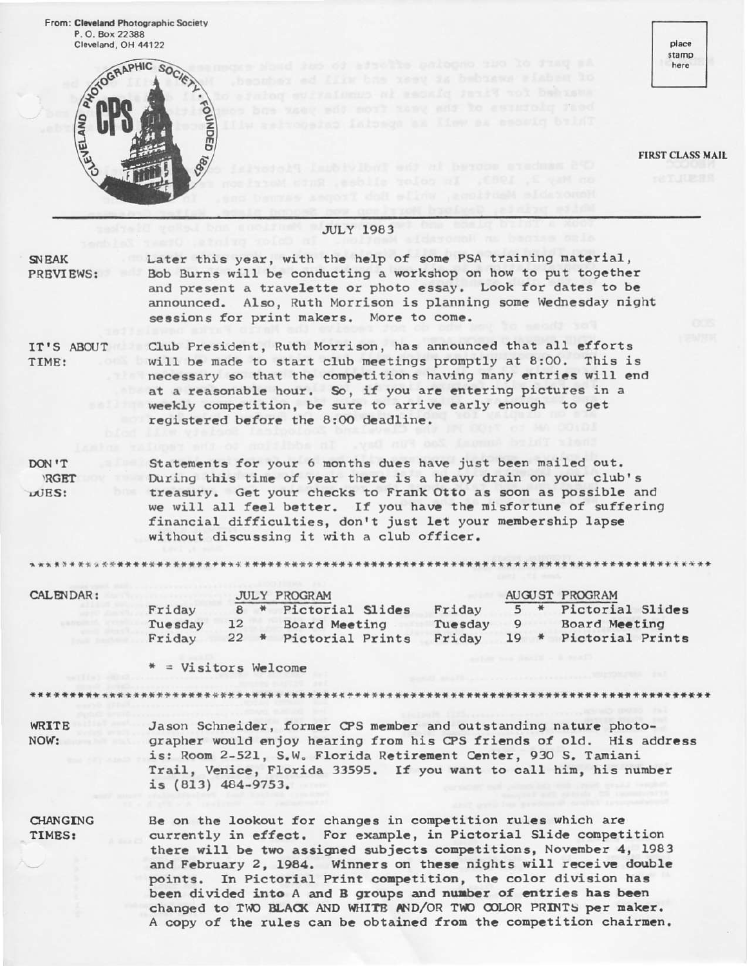From: Cleveland Photographic Society



beit pictures of the year from the

**FIRST CLASS MAIL** 

place stamp here

|                                  | <b>JULY 1983</b>                                                                                                                                                                                                                                                                                                                                                                                                                                                                      |  |  |  |  |  |
|----------------------------------|---------------------------------------------------------------------------------------------------------------------------------------------------------------------------------------------------------------------------------------------------------------------------------------------------------------------------------------------------------------------------------------------------------------------------------------------------------------------------------------|--|--|--|--|--|
| <b>SNEAK</b><br><b>PREVIEWS:</b> | Later this year, with the help of some PSA training material,<br>Bob Burns will be conducting a workshop on how to put together<br>and present a travelette or photo essay. Look for dates to be<br>announced. Also, Ruth Morrison is planning some Wednesday night<br>sessions for print makers. More to come.                                                                                                                                                                       |  |  |  |  |  |
| IT'S ABOUT<br>TIME:              | Club President, Ruth Morrison, has announced that all efforts<br>will be made to start club meetings promptly at 8:00. This is<br>necessary so that the competitions having many entries will end<br>at a reasonable hour. So, if you are entering pictures in a<br>weekly competition, be sure to arrive early enough to get<br>registered before the 8:00 deadline.                                                                                                                 |  |  |  |  |  |
| DON'T<br><b>RGET</b><br>LUES:    | Statements for your 6 months dues have just been mailed out.<br>During this time of year there is a heavy drain on your club's<br>treasury. Get your checks to Frank Otto as soon as possible and<br>we will all feel better. If you have the misfortune of suffering<br>financial difficulties, don't just let your membership lapse<br>without discussing it with a club officer.                                                                                                   |  |  |  |  |  |
|                                  |                                                                                                                                                                                                                                                                                                                                                                                                                                                                                       |  |  |  |  |  |
| CALENDAR:                        | AUGUST PROGRAM<br><b>JULY PROGRAM</b><br>5 * Pictorial Slides<br>8 * Pictorial Slides<br>Friday<br>Friday<br>Tuesday<br>Tuesday 9 Board Meeting<br>12<br>Board Meeting<br>22 * Pictorial Prints<br>19 * Pictorial Prints<br>Friday<br>Friday<br>* = Visitors Welcome                                                                                                                                                                                                                  |  |  |  |  |  |
|                                  |                                                                                                                                                                                                                                                                                                                                                                                                                                                                                       |  |  |  |  |  |
| WRITE<br>NOW:                    | Jason Schneider, former CPS member and outstanding nature photo-<br>grapher would enjoy hearing from his CPS friends of old. His address<br>is: Room 2-521, S.W. Florida Retirement Center, 930 S. Tamiani<br>Trail, Venice, Florida 33595. If you want to call him, his number<br>is $(813)$ $484-9753$ .                                                                                                                                                                            |  |  |  |  |  |
| <b>CHANGING</b><br>TIMES:        | Be on the lookout for changes in competition rules which are<br>currently in effect. For example, in Pictorial Slide competition<br>there will be two assigned subjects competitions, November 4, 1983<br>and February 2, 1984. Winners on these nights will receive double<br>points. In Pictorial Print competition, the color division has<br>been divided into A and B groups and number of entries has been<br>changed to TWO BLACK AND WHITE AND/OR TWO COLOR PRINTS per maker. |  |  |  |  |  |

A copy of the rules can be obtained from the competition chairmen.